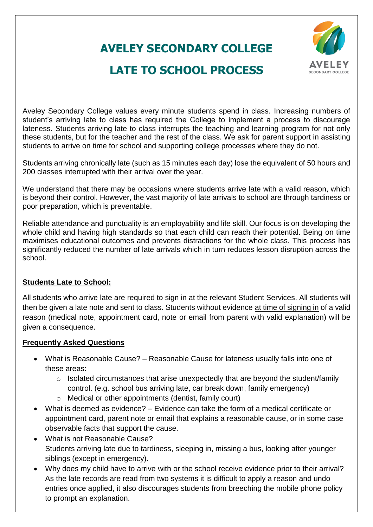## **AVELEY SECONDARY COLLEGE**



## **LATE TO SCHOOL PROCESS**

Aveley Secondary College values every minute students spend in class. Increasing numbers of student's arriving late to class has required the College to implement a process to discourage lateness. Students arriving late to class interrupts the teaching and learning program for not only these students, but for the teacher and the rest of the class. We ask for parent support in assisting students to arrive on time for school and supporting college processes where they do not.

Students arriving chronically late (such as 15 minutes each day) lose the equivalent of 50 hours and 200 classes interrupted with their arrival over the year.

We understand that there may be occasions where students arrive late with a valid reason, which is beyond their control. However, the vast majority of late arrivals to school are through tardiness or poor preparation, which is preventable.

Reliable attendance and punctuality is an employability and life skill. Our focus is on developing the whole child and having high standards so that each child can reach their potential. Being on time maximises educational outcomes and prevents distractions for the whole class. This process has significantly reduced the number of late arrivals which in turn reduces lesson disruption across the school.

## **Students Late to School:**

All students who arrive late are required to sign in at the relevant Student Services. All students will then be given a late note and sent to class. Students without evidence at time of signing in of a valid reason (medical note, appointment card, note or email from parent with valid explanation) will be given a consequence.

## **Frequently Asked Questions**

- What is Reasonable Cause? Reasonable Cause for lateness usually falls into one of these areas:
	- $\circ$  Isolated circumstances that arise unexpectedly that are beyond the student/family control. (e.g. school bus arriving late, car break down, family emergency)
	- o Medical or other appointments (dentist, family court)
- What is deemed as evidence? Evidence can take the form of a medical certificate or appointment card, parent note or email that explains a reasonable cause, or in some case observable facts that support the cause.
- What is not Reasonable Cause? Students arriving late due to tardiness, sleeping in, missing a bus, looking after younger siblings (except in emergency).
- Why does my child have to arrive with or the school receive evidence prior to their arrival? As the late records are read from two systems it is difficult to apply a reason and undo entries once applied, it also discourages students from breeching the mobile phone policy to prompt an explanation.